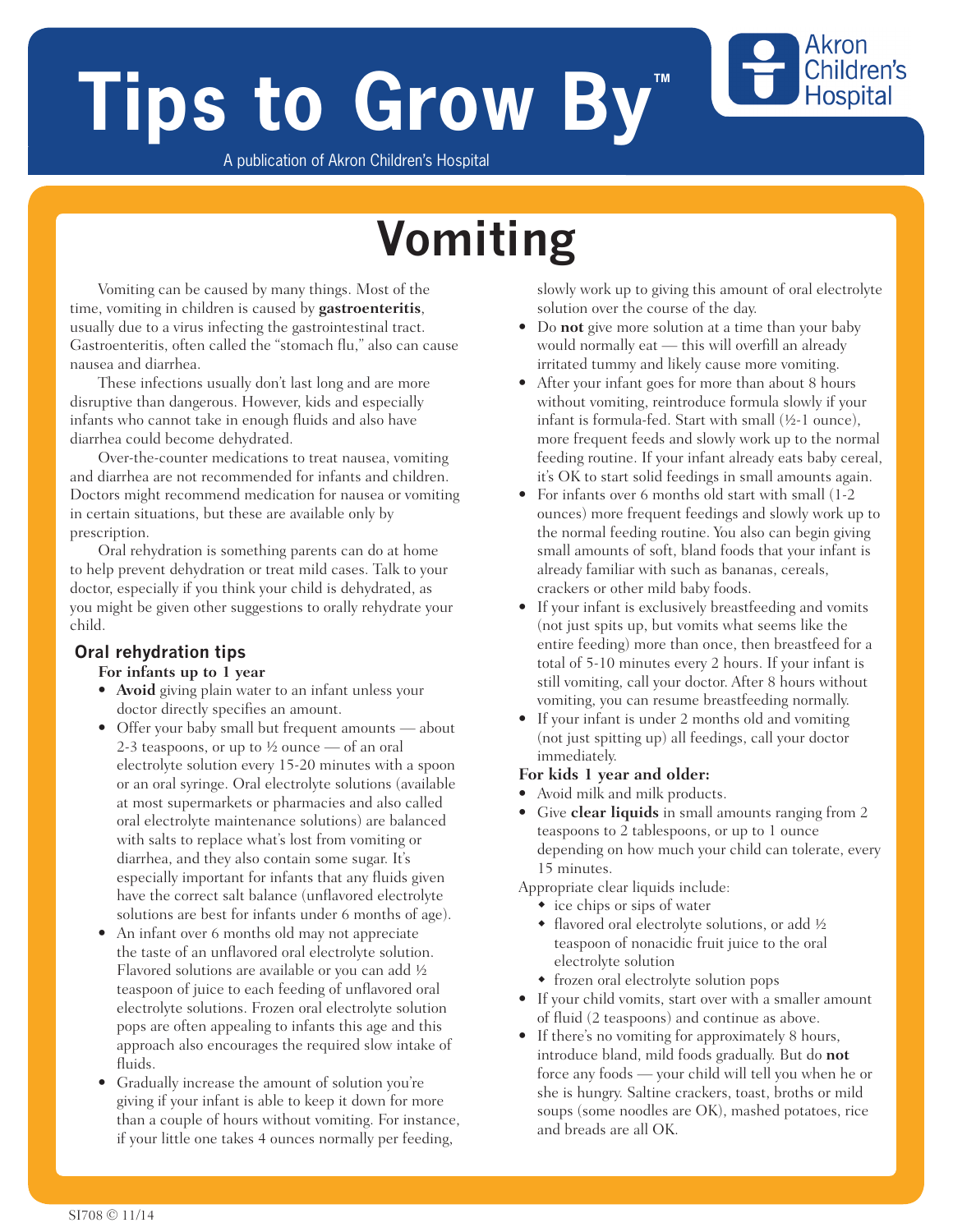# **Tips to Grow By**

Akron Children's **Hospital** 

A publication of Akron Children's Hospital

## **Vomiting**

Vomiting can be caused by many things. Most of the time, vomiting in children is caused by **gastroenteritis**, usually due to a virus infecting the gastrointestinal tract. Gastroenteritis, often called the "stomach flu," also can cause nausea and diarrhea.

These infections usually don't last long and are more disruptive than dangerous. However, kids and especially infants who cannot take in enough fluids and also have diarrhea could become dehydrated.

Over-the-counter medications to treat nausea, vomiting and diarrhea are not recommended for infants and children. Doctors might recommend medication for nausea or vomiting in certain situations, but these are available only by prescription.

Oral rehydration is something parents can do at home to help prevent dehydration or treat mild cases. Talk to your doctor, especially if you think your child is dehydrated, as you might be given other suggestions to orally rehydrate your child.

#### **Oral rehydration tips**

#### **For infants up to 1 year**

- **Avoid** giving plain water to an infant unless your doctor directly specifies an amount.
- Offer your baby small but frequent amounts about 2-3 teaspoons, or up to  $\frac{1}{2}$  ounce — of an oral electrolyte solution every 15-20 minutes with a spoon or an oral syringe. Oral electrolyte solutions (available at most supermarkets or pharmacies and also called oral electrolyte maintenance solutions) are balanced with salts to replace what's lost from vomiting or diarrhea, and they also contain some sugar. It's especially important for infants that any fluids given have the correct salt balance (unflavored electrolyte solutions are best for infants under 6 months of age).
- An infant over 6 months old may not appreciate the taste of an unflavored oral electrolyte solution. Flavored solutions are available or you can add ½ teaspoon of juice to each feeding of unflavored oral electrolyte solutions. Frozen oral electrolyte solution pops are often appealing to infants this age and this approach also encourages the required slow intake of fluids.
- Gradually increase the amount of solution you're giving if your infant is able to keep it down for more than a couple of hours without vomiting. For instance, if your little one takes 4 ounces normally per feeding,

slowly work up to giving this amount of oral electrolyte solution over the course of the day.

- Do **not** give more solution at a time than your baby would normally eat — this will overfill an already irritated tummy and likely cause more vomiting.
- After your infant goes for more than about 8 hours without vomiting, reintroduce formula slowly if your infant is formula-fed. Start with small (½-1 ounce), more frequent feeds and slowly work up to the normal feeding routine. If your infant already eats baby cereal, it's OK to start solid feedings in small amounts again.
- For infants over 6 months old start with small (1-2 ounces) more frequent feedings and slowly work up to the normal feeding routine. You also can begin giving small amounts of soft, bland foods that your infant is already familiar with such as bananas, cereals, crackers or other mild baby foods.
- If your infant is exclusively breastfeeding and vomits (not just spits up, but vomits what seems like the entire feeding) more than once, then breastfeed for a total of 5-10 minutes every 2 hours. If your infant is still vomiting, call your doctor. After 8 hours without vomiting, you can resume breastfeeding normally.
- If your infant is under 2 months old and vomiting (not just spitting up) all feedings, call your doctor immediately.

#### **For kids 1 year and older:**

- Avoid milk and milk products.
- Give **clear liquids** in small amounts ranging from 2 teaspoons to 2 tablespoons, or up to 1 ounce depending on how much your child can tolerate, every 15 minutes.

Appropriate clear liquids include:

- $\bullet$  ice chips or sips of water
- $\bullet$  flavored oral electrolyte solutions, or add ½ teaspoon of nonacidic fruit juice to the oral electrolyte solution
- frozen oral electrolyte solution pops
- If your child vomits, start over with a smaller amount of fluid (2 teaspoons) and continue as above.
- If there's no vomiting for approximately 8 hours, introduce bland, mild foods gradually. But do **not** force any foods — your child will tell you when he or she is hungry. Saltine crackers, toast, broths or mild soups (some noodles are OK), mashed potatoes, rice and breads are all OK.